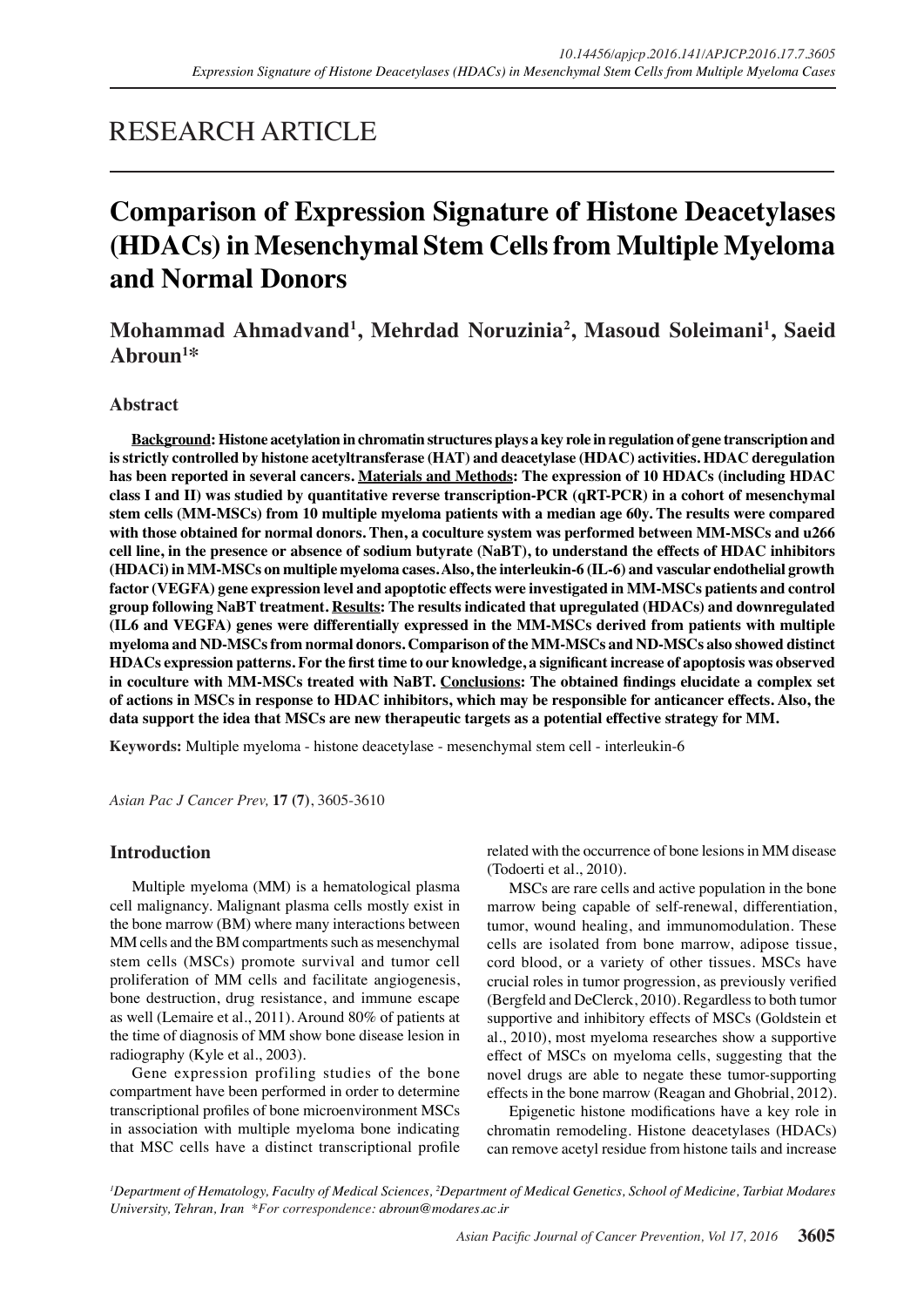# RESEARCH ARTICLE

# **Comparison of Expression Signature of Histone Deacetylases (HDACs) in Mesenchymal Stem Cells from Multiple Myeloma and Normal Donors**

# **Mohammad Ahmadvand1 , Mehrdad Noruzinia2 , Masoud Soleimani1 , Saeid Abroun1 \***

# **Abstract**

**Background: Histone acetylation in chromatin structures plays a key role in regulation of gene transcription and is strictly controlled by histone acetyltransferase (HAT) and deacetylase (HDAC) activities. HDAC deregulation has been reported in several cancers. Materials and Methods: The expression of 10 HDACs (including HDAC class I and II) was studied by quantitative reverse transcription-PCR (qRT-PCR) in a cohort of mesenchymal stem cells (MM-MSCs) from 10 multiple myeloma patients with a median age 60y. The results were compared with those obtained for normal donors. Then, a coculture system was performed between MM-MSCs and u266 cell line, in the presence or absence of sodium butyrate (NaBT), to understand the effects of HDAC inhibitors (HDACi) in MM-MSCs on multiple myeloma cases. Also, the interleukin-6 (IL-6) and vascular endothelial growth factor (VEGFA) gene expression level and apoptotic effects were investigated in MM-MSCs patients and control group following NaBT treatment. Results: The results indicated that upregulated (HDACs) and downregulated (IL6 and VEGFA) genes were differentially expressed in the MM-MSCs derived from patients with multiple myeloma and ND-MSCs from normal donors. Comparison of the MM-MSCs and ND-MSCs also showed distinct HDACs expression patterns. For the first time to our knowledge, a significant increase of apoptosis was observed in coculture with MM-MSCs treated with NaBT. Conclusions: The obtained findings elucidate a complex set of actions in MSCs in response to HDAC inhibitors, which may be responsible for anticancer effects. Also, the data support the idea that MSCs are new therapeutic targets as a potential effective strategy for MM.**

**Keywords:** Multiple myeloma - histone deacetylase - mesenchymal stem cell - interleukin-6

*Asian Pac J Cancer Prev,* **17 (7)**, 3605-3610

# **Introduction**

Multiple myeloma (MM) is a hematological plasma cell malignancy. Malignant plasma cells mostly exist in the bone marrow (BM) where many interactions between MM cells and the BM compartments such as mesenchymal stem cells (MSCs) promote survival and tumor cell proliferation of MM cells and facilitate angiogenesis, bone destruction, drug resistance, and immune escape as well (Lemaire et al., 2011). Around 80% of patients at the time of diagnosis of MM show bone disease lesion in radiography (Kyle et al., 2003).

Gene expression profiling studies of the bone compartment have been performed in order to determine transcriptional profiles of bone microenvironment MSCs in association with multiple myeloma bone indicating that MSC cells have a distinct transcriptional profile related with the occurrence of bone lesions in MM disease (Todoerti et al., 2010).

MSCs are rare cells and active population in the bone marrow being capable of self-renewal, differentiation, tumor, wound healing, and immunomodulation. These cells are isolated from bone marrow, adipose tissue, cord blood, or a variety of other tissues. MSCs have crucial roles in tumor progression, as previously verified (Bergfeld and DeClerck, 2010). Regardless to both tumor supportive and inhibitory effects of MSCs (Goldstein et al., 2010), most myeloma researches show a supportive effect of MSCs on myeloma cells, suggesting that the novel drugs are able to negate these tumor-supporting effects in the bone marrow (Reagan and Ghobrial, 2012).

Epigenetic histone modifications have a key role in chromatin remodeling. Histone deacetylases (HDACs) can remove acetyl residue from histone tails and increase

*1 Department of Hematology, Faculty of Medical Sciences, 2 Department of Medical Genetics, School of Medicine, Tarbiat Modares University, Tehran, Iran \*For correspondence: abroun@modares.ac.ir*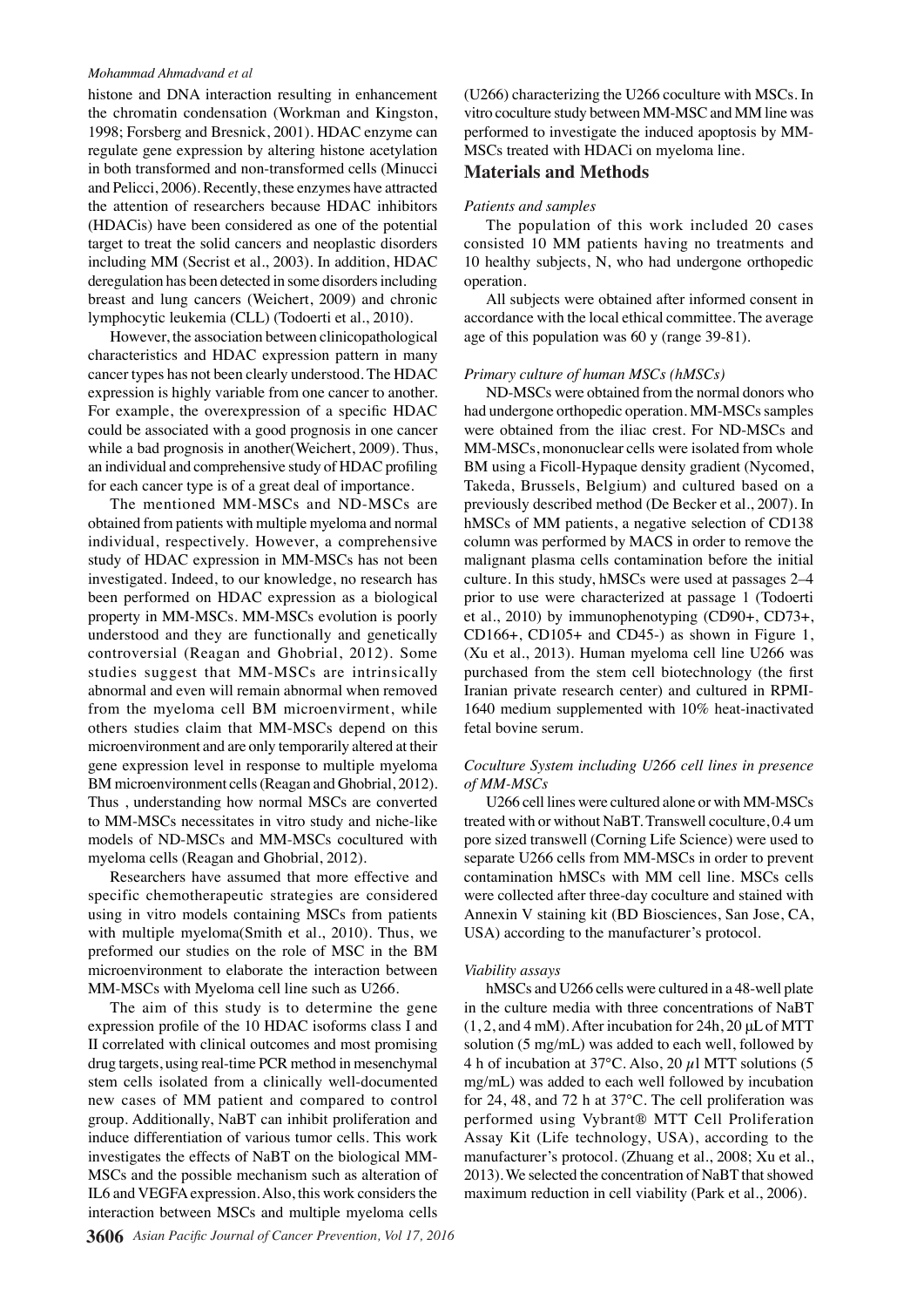#### *Mohammad Ahmadvand et al*

histone and DNA interaction resulting in enhancement the chromatin condensation (Workman and Kingston, 1998; Forsberg and Bresnick, 2001). HDAC enzyme can regulate gene expression by altering histone acetylation in both transformed and non-transformed cells (Minucci and Pelicci, 2006). Recently, these enzymes have attracted the attention of researchers because HDAC inhibitors (HDACis) have been considered as one of the potential target to treat the solid cancers and neoplastic disorders including MM (Secrist et al., 2003). In addition, HDAC deregulation has been detected in some disorders including breast and lung cancers (Weichert, 2009) and chronic lymphocytic leukemia (CLL) (Todoerti et al., 2010).

However, the association between clinicopathological characteristics and HDAC expression pattern in many cancer types has not been clearly understood. The HDAC expression is highly variable from one cancer to another. For example, the overexpression of a specific HDAC could be associated with a good prognosis in one cancer while a bad prognosis in another(Weichert, 2009). Thus, an individual and comprehensive study of HDAC profiling for each cancer type is of a great deal of importance.

The mentioned MM-MSCs and ND-MSCs are obtained from patients with multiple myeloma and normal individual, respectively. However, a comprehensive study of HDAC expression in MM-MSCs has not been investigated. Indeed, to our knowledge, no research has been performed on HDAC expression as a biological property in MM-MSCs. MM-MSCs evolution is poorly understood and they are functionally and genetically controversial (Reagan and Ghobrial, 2012). Some studies suggest that MM-MSCs are intrinsically abnormal and even will remain abnormal when removed from the myeloma cell BM microenvirment, while others studies claim that MM-MSCs depend on this microenvironment and are only temporarily altered at their gene expression level in response to multiple myeloma BM microenvironment cells (Reagan and Ghobrial, 2012). Thus , understanding how normal MSCs are converted to MM-MSCs necessitates in vitro study and niche-like models of ND-MSCs and MM-MSCs cocultured with myeloma cells (Reagan and Ghobrial, 2012).

Researchers have assumed that more effective and specific chemotherapeutic strategies are considered using in vitro models containing MSCs from patients with multiple myeloma(Smith et al., 2010). Thus, we preformed our studies on the role of MSC in the BM microenvironment to elaborate the interaction between MM-MSCs with Myeloma cell line such as U266.

The aim of this study is to determine the gene expression profile of the 10 HDAC isoforms class I and II correlated with clinical outcomes and most promising drug targets, using real-time PCR method in mesenchymal stem cells isolated from a clinically well-documented new cases of MM patient and compared to control group. Additionally, NaBT can inhibit proliferation and induce differentiation of various tumor cells. This work investigates the effects of NaBT on the biological MM-MSCs and the possible mechanism such as alteration of IL6 and VEGFA expression. Also, this work considers the interaction between MSCs and multiple myeloma cells

(U266) characterizing the U266 coculture with MSCs. In vitro coculture study between MM-MSC and MM line was performed to investigate the induced apoptosis by MM-MSCs treated with HDACi on myeloma line.

#### **Materials and Methods**

#### *Patients and samples*

The population of this work included 20 cases consisted 10 MM patients having no treatments and 10 healthy subjects, N, who had undergone orthopedic operation.

All subjects were obtained after informed consent in accordance with the local ethical committee. The average age of this population was 60 y (range 39-81).

#### *Primary culture of human MSCs (hMSCs)*

ND-MSCs were obtained from the normal donors who had undergone orthopedic operation. MM-MSCs samples were obtained from the iliac crest. For ND-MSCs and MM-MSCs, mononuclear cells were isolated from whole BM using a Ficoll-Hypaque density gradient (Nycomed, Takeda, Brussels, Belgium) and cultured based on a previously described method (De Becker et al., 2007). In hMSCs of MM patients, a negative selection of CD138 column was performed by MACS in order to remove the malignant plasma cells contamination before the initial culture. In this study, hMSCs were used at passages 2–4 prior to use were characterized at passage 1 (Todoerti et al., 2010) by immunophenotyping (CD90+, CD73+, CD166+, CD105+ and CD45-) as shown in Figure 1, (Xu et al., 2013). Human myeloma cell line U266 was purchased from the stem cell biotechnology (the first Iranian private research center) and cultured in RPMI-1640 medium supplemented with 10% heat-inactivated fetal bovine serum.

#### *Coculture System including U266 cell lines in presence of MM-MSCs*

U266 cell lines were cultured alone or with MM-MSCs treated with or without NaBT. Transwell coculture, 0.4 um pore sized transwell (Corning Life Science) were used to separate U266 cells from MM-MSCs in order to prevent contamination hMSCs with MM cell line. MSCs cells were collected after three-day coculture and stained with Annexin V staining kit (BD Biosciences, San Jose, CA, USA) according to the manufacturer's protocol.

#### *Viability assays*

hMSCs and U266 cells were cultured in a 48-well plate in the culture media with three concentrations of NaBT  $(1, 2, and 4$  mM). After incubation for 24h, 20  $\mu$ L of MTT solution (5 mg/mL) was added to each well, followed by 4 h of incubation at 37 $\degree$ C. Also, 20  $\mu$ l MTT solutions (5 mg/mL) was added to each well followed by incubation for 24, 48, and 72 h at 37°C. The cell proliferation was performed using Vybrant® MTT Cell Proliferation Assay Kit (Life technology, USA), according to the manufacturer's protocol. (Zhuang et al., 2008; Xu et al., 2013). We selected the concentration of NaBT that showed maximum reduction in cell viability (Park et al., 2006).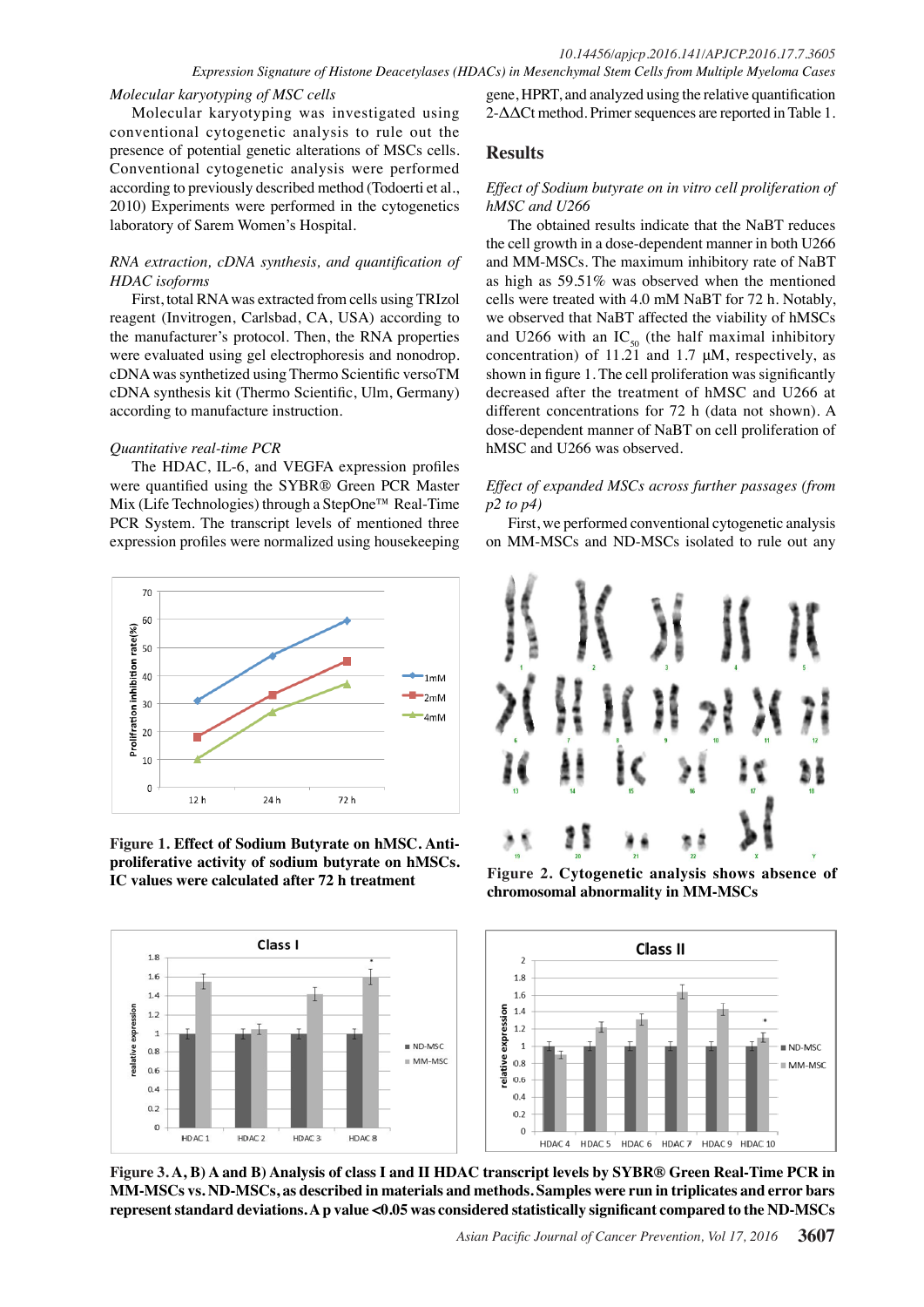#### *Molecular karyotyping of MSC cells*

Molecular karyotyping was investigated using conventional cytogenetic analysis to rule out the presence of potential genetic alterations of MSCs cells. Conventional cytogenetic analysis were performed according to previously described method (Todoerti et al., 2010) Experiments were performed in the cytogenetics laboratory of Sarem Women's Hospital.

#### *RNA extraction, cDNA synthesis, and quantification of HDAC isoforms*

First, total RNA was extracted from cells using TRIzol reagent (Invitrogen, Carlsbad, CA, USA) according to the manufacturer's protocol. Then, the RNA properties were evaluated using gel electrophoresis and nonodrop. cDNA was synthetized using Thermo Scientific versoTM cDNA synthesis kit (Thermo Scientific, Ulm, Germany) according to manufacture instruction.

#### *Quantitative real-time PCR*

The HDAC, IL-6, and VEGFA expression profiles were quantified using the SYBR® Green PCR Master Mix (Life Technologies) through a StepOne™ Real-Time PCR System. The transcript levels of mentioned three expression profiles were normalized using housekeeping



**Figure 1. Effect of Sodium Butyrate on hMSC. Antiproliferative activity of sodium butyrate on hMSCs. IC values were calculated after 72 h treatment Figure 2. Cytogenetic analysis shows absence of** 

gene, HPRT, and analyzed using the relative quantification 2-ΔΔCt method. Primer sequences are reported in Table 1.

# **Results**

#### *Effect of Sodium butyrate on in vitro cell proliferation of hMSC and U266*

The obtained results indicate that the NaBT reduces the cell growth in a dose-dependent manner in both U266 and MM-MSCs. The maximum inhibitory rate of NaBT as high as 59.51% was observed when the mentioned cells were treated with 4.0 mM NaBT for 72 h. Notably, we observed that NaBT affected the viability of hMSCs and U266 with an  $IC_{50}$  (the half maximal inhibitory concentration) of 11.21 and 1.7 μM, respectively, as shown in figure 1. The cell proliferation was significantly decreased after the treatment of hMSC and U266 at different concentrations for 72 h (data not shown). A dose-dependent manner of NaBT on cell proliferation of hMSC and U266 was observed.

## *Effect of expanded MSCs across further passages (from p2 to p4)*

First, we performed conventional cytogenetic analysis on MM-MSCs and ND-MSCs isolated to rule out any



**chromosomal abnormality in MM-MSCs**



**Figure 3. A, B) A and B) Analysis of class I and II HDAC transcript levels by SYBR® Green Real-Time PCR in MM-MSCs vs. ND-MSCs, as described in materials and methods. Samples were run in triplicates and error bars represent standard deviations. A p value <0.05 was considered statistically significant compared to the ND-MSCs**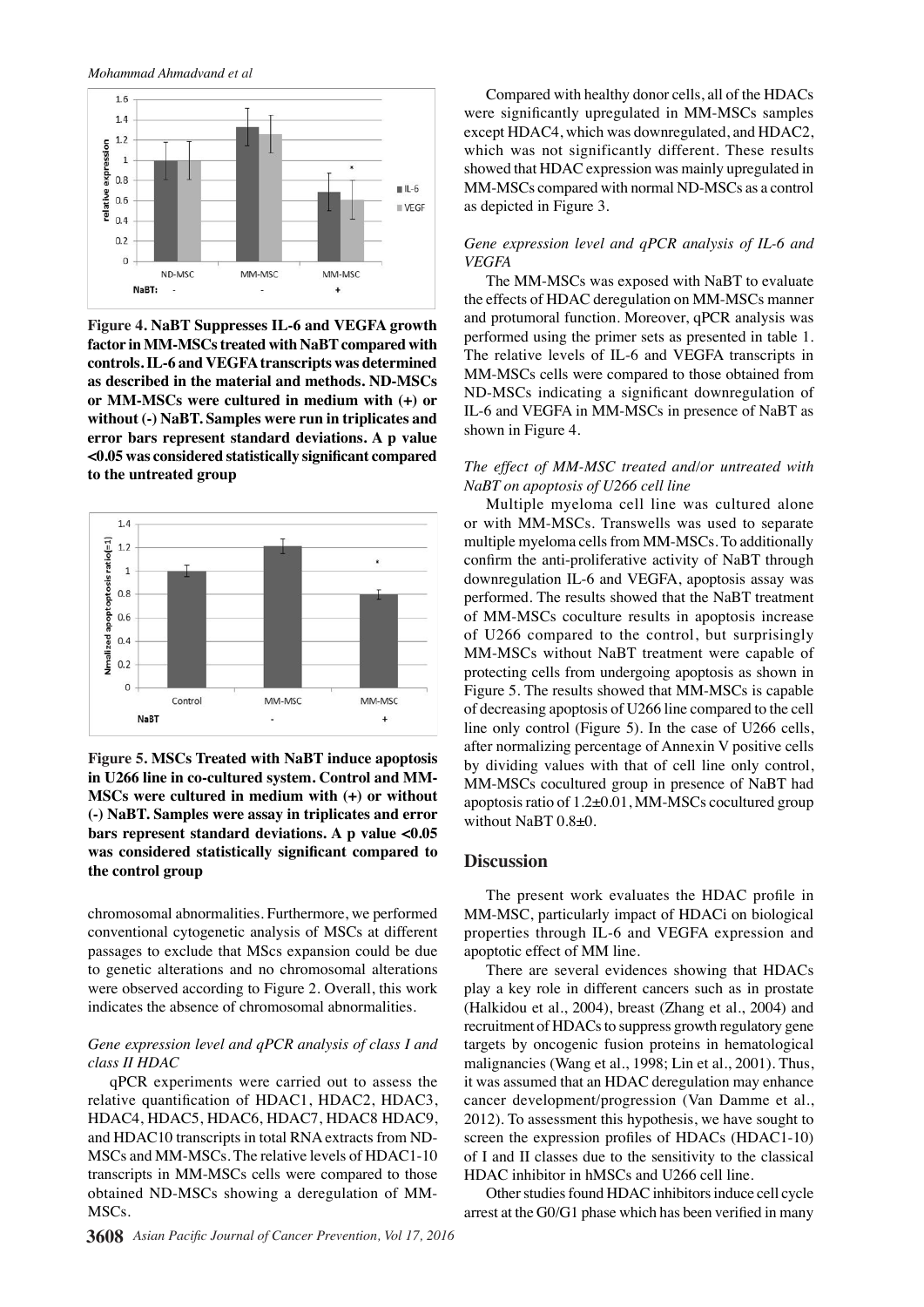*Mohammad Ahmadvand et al*



**Figure 4. NaBT Suppresses IL-6 and VEGFA growth factor in MM-MSCs treated with NaBT compared with controls. IL-6 and VEGFA transcripts was determined as described in the material and methods. ND-MSCs or MM-MSCs were cultured in medium with (+) or without (-) NaBT. Samples were run in triplicates and error bars represent standard deviations. A p value <0.05 was considered statistically significant compared to the untreated group**



**Figure 5. MSCs Treated with NaBT induce apoptosis in U266 line in co-cultured system. Control and MM-MSCs were cultured in medium with (+) or without (-) NaBT. Samples were assay in triplicates and error bars represent standard deviations. A p value <0.05 was considered statistically significant compared to the control group** 

chromosomal abnormalities. Furthermore, we performed conventional cytogenetic analysis of MSCs at different passages to exclude that MScs expansion could be due to genetic alterations and no chromosomal alterations were observed according to Figure 2. Overall, this work indicates the absence of chromosomal abnormalities.

#### *Gene expression level and qPCR analysis of class I and class II HDAC*

qPCR experiments were carried out to assess the relative quantification of HDAC1, HDAC2, HDAC3, HDAC4, HDAC5, HDAC6, HDAC7, HDAC8 HDAC9, and HDAC10 transcripts in total RNA extracts from ND-MSCs and MM-MSCs. The relative levels of HDAC1-10 transcripts in MM-MSCs cells were compared to those obtained ND-MSCs showing a deregulation of MM-MSCs.

Compared with healthy donor cells, all of the HDACs were significantly upregulated in MM-MSCs samples except HDAC4, which was downregulated, and HDAC2, which was not significantly different. These results showed that HDAC expression was mainly upregulated in MM-MSCs compared with normal ND-MSCs as a control as depicted in Figure 3.

#### *Gene expression level and qPCR analysis of IL-6 and VEGFA*

The MM-MSCs was exposed with NaBT to evaluate the effects of HDAC deregulation on MM-MSCs manner and protumoral function. Moreover, qPCR analysis was performed using the primer sets as presented in table 1. The relative levels of IL-6 and VEGFA transcripts in MM-MSCs cells were compared to those obtained from ND-MSCs indicating a significant downregulation of IL-6 and VEGFA in MM-MSCs in presence of NaBT as shown in Figure 4.

#### *The effect of MM-MSC treated and/or untreated with NaBT on apoptosis of U266 cell line*

Multiple myeloma cell line was cultured alone or with MM-MSCs. Transwells was used to separate multiple myeloma cells from MM-MSCs. To additionally confirm the anti-proliferative activity of NaBT through downregulation IL-6 and VEGFA, apoptosis assay was performed. The results showed that the NaBT treatment of MM-MSCs coculture results in apoptosis increase of U266 compared to the control, but surprisingly MM-MSCs without NaBT treatment were capable of protecting cells from undergoing apoptosis as shown in Figure 5. The results showed that MM-MSCs is capable of decreasing apoptosis of U266 line compared to the cell line only control (Figure 5). In the case of U266 cells, after normalizing percentage of Annexin V positive cells by dividing values with that of cell line only control, MM-MSCs cocultured group in presence of NaBT had apoptosis ratio of 1.2±0.01, MM-MSCs cocultured group without NaBT 0.8±0.

#### **Discussion**

The present work evaluates the HDAC profile in MM-MSC, particularly impact of HDACi on biological properties through IL-6 and VEGFA expression and apoptotic effect of MM line.

There are several evidences showing that HDACs play a key role in different cancers such as in prostate (Halkidou et al., 2004), breast (Zhang et al., 2004) and recruitment of HDACs to suppress growth regulatory gene targets by oncogenic fusion proteins in hematological malignancies (Wang et al., 1998; Lin et al., 2001). Thus, it was assumed that an HDAC deregulation may enhance cancer development/progression (Van Damme et al., 2012). To assessment this hypothesis, we have sought to screen the expression profiles of HDACs (HDAC1-10) of I and II classes due to the sensitivity to the classical HDAC inhibitor in hMSCs and U266 cell line.

Other studies found HDAC inhibitors induce cell cycle arrest at the G0/G1 phase which has been verified in many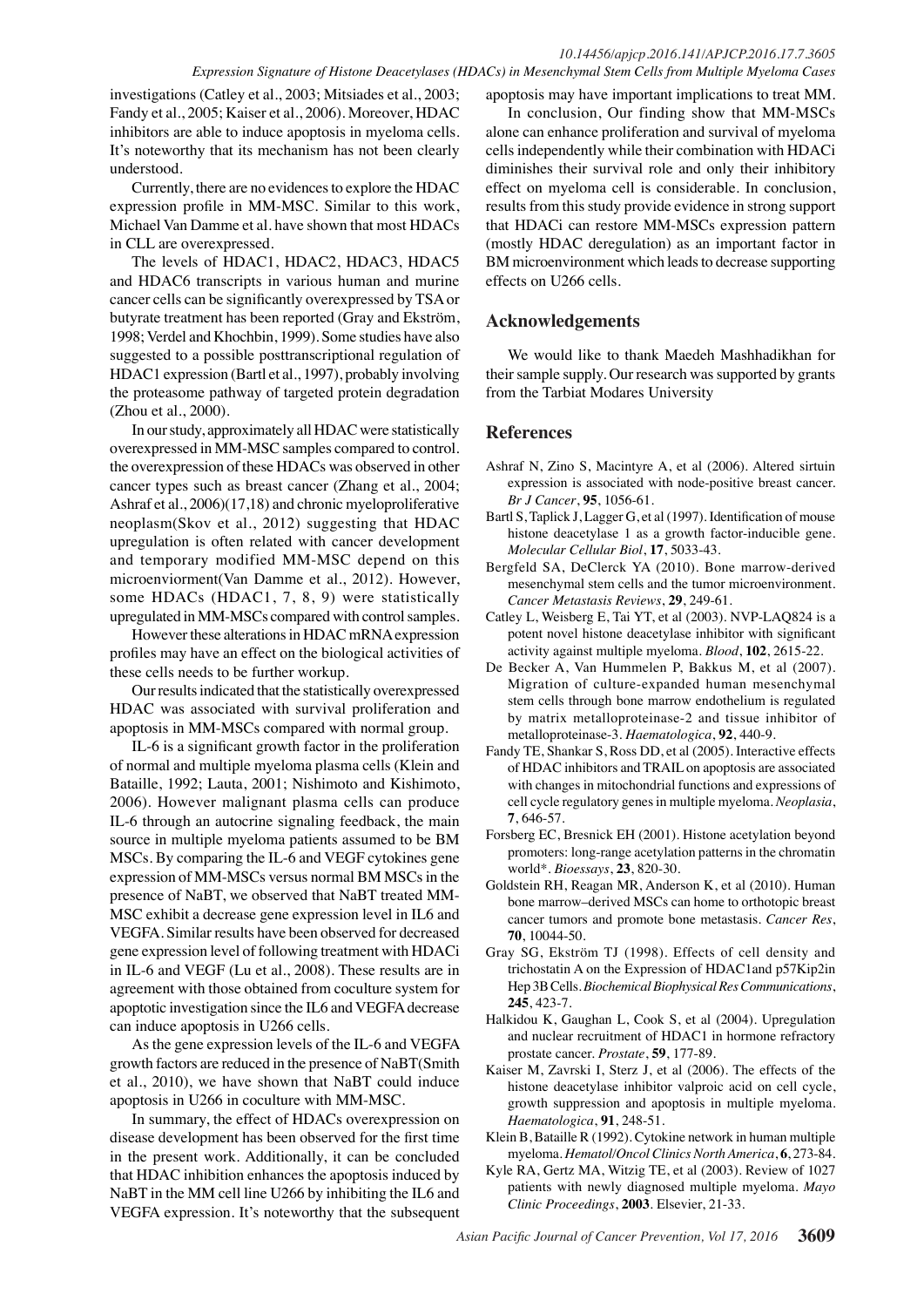investigations (Catley et al., 2003; Mitsiades et al., 2003; Fandy et al., 2005; Kaiser et al., 2006). Moreover, HDAC inhibitors are able to induce apoptosis in myeloma cells. It's noteworthy that its mechanism has not been clearly understood.

Currently, there are no evidences to explore the HDAC expression profile in MM-MSC. Similar to this work, Michael Van Damme et al. have shown that most HDACs in CLL are overexpressed.

The levels of HDAC1, HDAC2, HDAC3, HDAC5 and HDAC6 transcripts in various human and murine cancer cells can be significantly overexpressed by TSA or butyrate treatment has been reported (Gray and Ekström, 1998; Verdel and Khochbin, 1999). Some studies have also suggested to a possible posttranscriptional regulation of HDAC1 expression (Bartl et al., 1997), probably involving the proteasome pathway of targeted protein degradation (Zhou et al., 2000).

In our study, approximately all HDAC were statistically overexpressed in MM-MSC samples compared to control. the overexpression of these HDACs was observed in other cancer types such as breast cancer (Zhang et al., 2004; Ashraf et al., 2006)(17,18) and chronic myeloproliferative neoplasm(Skov et al., 2012) suggesting that HDAC upregulation is often related with cancer development and temporary modified MM-MSC depend on this microenviorment(Van Damme et al., 2012). However, some HDACs (HDAC1, 7, 8, 9) were statistically upregulated in MM-MSCs compared with control samples.

However these alterations in HDAC mRNA expression profiles may have an effect on the biological activities of these cells needs to be further workup.

Our results indicated that the statistically overexpressed HDAC was associated with survival proliferation and apoptosis in MM-MSCs compared with normal group.

IL-6 is a significant growth factor in the proliferation of normal and multiple myeloma plasma cells (Klein and Bataille, 1992; Lauta, 2001; Nishimoto and Kishimoto, 2006). However malignant plasma cells can produce IL-6 through an autocrine signaling feedback, the main source in multiple myeloma patients assumed to be BM MSCs. By comparing the IL-6 and VEGF cytokines gene expression of MM-MSCs versus normal BM MSCs in the presence of NaBT, we observed that NaBT treated MM-MSC exhibit a decrease gene expression level in IL6 and VEGFA. Similar results have been observed for decreased gene expression level of following treatment with HDACi in IL-6 and VEGF (Lu et al., 2008). These results are in agreement with those obtained from coculture system for apoptotic investigation since the IL6 and VEGFA decrease can induce apoptosis in U266 cells.

As the gene expression levels of the IL-6 and VEGFA growth factors are reduced in the presence of NaBT(Smith et al., 2010), we have shown that NaBT could induce apoptosis in U266 in coculture with MM-MSC.

In summary, the effect of HDACs overexpression on disease development has been observed for the first time in the present work. Additionally, it can be concluded that HDAC inhibition enhances the apoptosis induced by NaBT in the MM cell line U266 by inhibiting the IL6 and VEGFA expression. It's noteworthy that the subsequent

apoptosis may have important implications to treat MM.

In conclusion, Our finding show that MM-MSCs alone can enhance proliferation and survival of myeloma cells independently while their combination with HDACi diminishes their survival role and only their inhibitory effect on myeloma cell is considerable. In conclusion, results from this study provide evidence in strong support that HDACi can restore MM-MSCs expression pattern (mostly HDAC deregulation) as an important factor in BM microenvironment which leads to decrease supporting effects on U266 cells.

# **Acknowledgements**

We would like to thank Maedeh Mashhadikhan for their sample supply. Our research was supported by grants from the Tarbiat Modares University

## **References**

- Ashraf N, Zino S, Macintyre A, et al (2006). Altered sirtuin expression is associated with node-positive breast cancer. *Br J Cancer*, **95**, 1056-61.
- Bartl S, Taplick J, Lagger G, et al (1997). Identification of mouse histone deacetylase 1 as a growth factor-inducible gene. *Molecular Cellular Biol*, **17**, 5033-43.
- Bergfeld SA, DeClerck YA (2010). Bone marrow-derived mesenchymal stem cells and the tumor microenvironment. *Cancer Metastasis Reviews*, **29**, 249-61.
- Catley L, Weisberg E, Tai YT, et al (2003). NVP-LAQ824 is a potent novel histone deacetylase inhibitor with significant activity against multiple myeloma. *Blood*, **102**, 2615-22.
- De Becker A, Van Hummelen P, Bakkus M, et al (2007). Migration of culture-expanded human mesenchymal stem cells through bone marrow endothelium is regulated by matrix metalloproteinase-2 and tissue inhibitor of metalloproteinase-3. *Haematologica*, **92**, 440-9.
- Fandy TE, Shankar S, Ross DD, et al (2005). Interactive effects of HDAC inhibitors and TRAIL on apoptosis are associated with changes in mitochondrial functions and expressions of cell cycle regulatory genes in multiple myeloma. *Neoplasia*, **7**, 646-57.
- Forsberg EC, Bresnick EH (2001). Histone acetylation beyond promoters: long-range acetylation patterns in the chromatin world\*. *Bioessays*, **23**, 820-30.
- Goldstein RH, Reagan MR, Anderson K, et al (2010). Human bone marrow–derived MSCs can home to orthotopic breast cancer tumors and promote bone metastasis. *Cancer Res*, **70**, 10044-50.
- Gray SG, Ekström TJ (1998). Effects of cell density and trichostatin A on the Expression of HDAC1and p57Kip2in Hep 3B Cells. *Biochemical Biophysical Res Communications*, **245**, 423-7.
- Halkidou K, Gaughan L, Cook S, et al (2004). Upregulation and nuclear recruitment of HDAC1 in hormone refractory prostate cancer. *Prostate*, **59**, 177-89.
- Kaiser M, Zavrski I, Sterz J, et al (2006). The effects of the histone deacetylase inhibitor valproic acid on cell cycle, growth suppression and apoptosis in multiple myeloma. *Haematologica*, **91**, 248-51.
- Klein B, Bataille R (1992). Cytokine network in human multiple myeloma. *Hematol/Oncol Clinics North America*, **6**, 273-84.
- Kyle RA, Gertz MA, Witzig TE, et al (2003). Review of 1027 patients with newly diagnosed multiple myeloma. *Mayo Clinic Proceedings*, **2003**. Elsevier, 21-33.